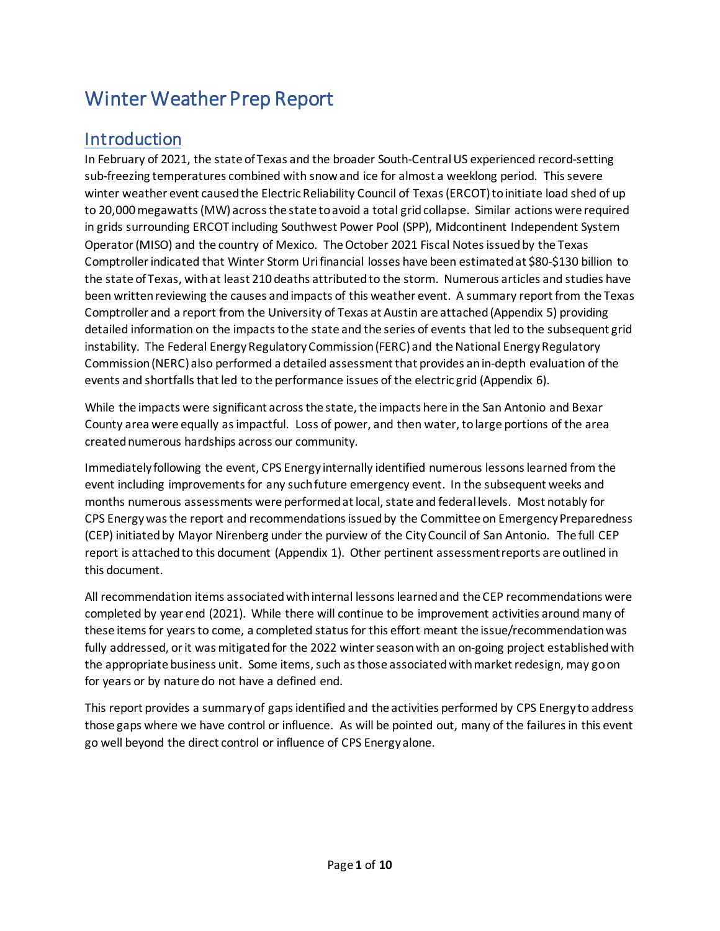# Winter Weather Prep Report

# Introduction

In February of 2021, the state of Texas and the broader South-CentralUS experienced record-setting sub-freezing temperatures combined with snow and ice for almost a weeklong period. This severe winter weather event caused the Electric Reliability Council of Texas (ERCOT) to initiate load shed of up to 20,000megawatts (MW) across the state to avoid a total grid collapse. Similar actions were required in grids surrounding ERCOT including Southwest Power Pool (SPP), Midcontinent Independent System Operator(MISO) and the country of Mexico. The October 2021 Fiscal Notes issued by the Texas Comptroller indicated that Winter Storm Uri financial losses have been estimated at \$80-\$130 billion to the state of Texas, with at least 210 deaths attributed to the storm. Numerous articles and studies have been written reviewing the causes and impacts of this weather event. A summary report from the Texas Comptroller and a report from the University of Texas at Austin are attached (Appendix 5) providing detailed information on the impacts to the state and the series of events that led to the subsequent grid instability. The Federal Energy Regulatory Commission (FERC) and the National Energy Regulatory Commission (NERC) also performed a detailed assessment that provides an in-depth evaluation of the events and shortfalls that led to the performance issues of the electric grid (Appendix 6).

While the impacts were significant across the state, the impacts here in the San Antonio and Bexar County area were equally as impactful. Loss of power, and then water, to large portions of the area created numerous hardships across our community.

Immediately following the event, CPS Energy internally identified numerous lessons learned from the event including improvementsfor any such future emergency event. In the subsequent weeks and months numerous assessments were performed at local, state and federal levels. Most notably for CPS Energy was the report and recommendations issued by the Committee on Emergency Preparedness (CEP) initiatedby Mayor Nirenberg under the purview of the City Council of San Antonio. The full CEP report is attached to this document (Appendix 1). Other pertinent assessment reports are outlined in this document.

All recommendation items associated with internal lessons learned and the CEP recommendations were completed by year end (2021). While there will continue to be improvement activities around many of these items for years to come, a completed status for this effort meant the issue/recommendation was fully addressed, or it was mitigated for the 2022 winter season with an on-going project established with the appropriate business unit. Some items, such as those associated with market redesign, may go on for years or by nature do not have a defined end.

This report provides a summary of gaps identified and the activities performed by CPS Energy to address those gaps where we have control or influence. As will be pointed out, many of the failures in this event go well beyond the direct control or influence of CPS Energy alone.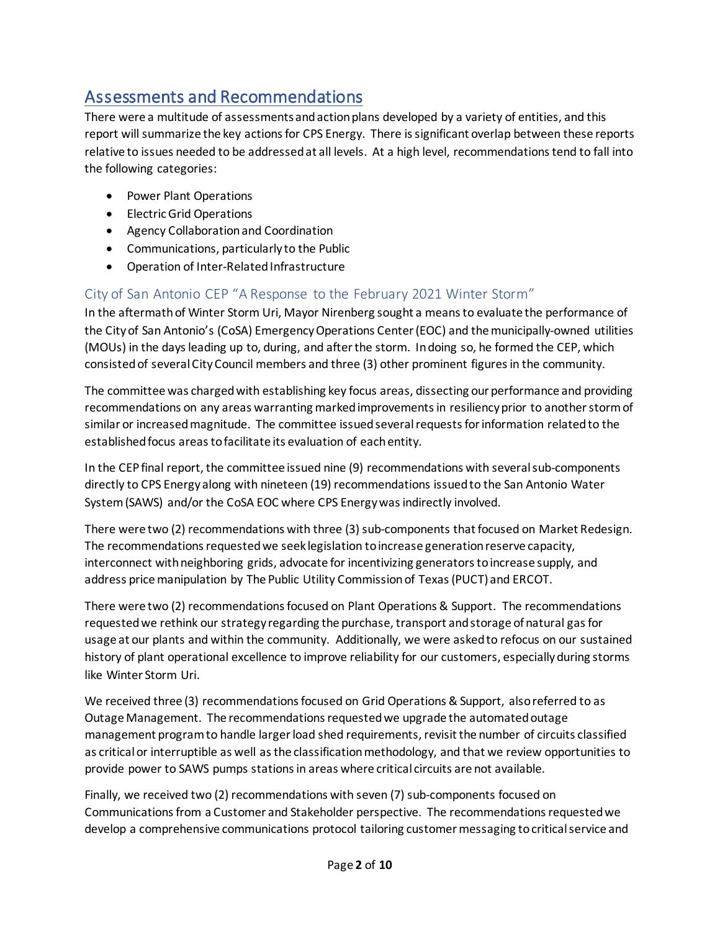# Assessments and Recommendations

There were a multitude of assessmentsand action plans developed by a variety of entities, and this report will summarize the key actions for CPS Energy. There is significant overlap between these reports relative to issues needed to be addressed at all levels. At a high level, recommendations tend to fall into the following categories:

- Power Plant Operations
- Electric Grid Operations
- Agency Collaboration and Coordination
- Communications, particularly to the Public
- Operation of Inter-Related Infrastructure

### City of San Antonio CEP "A Response to the February 2021 Winter Storm"

In the aftermath of Winter Storm Uri, Mayor Nirenberg sought a meansto evaluate the performance of the City of San Antonio's (CoSA) Emergency Operations Center(EOC) and the municipally-owned utilities (MOUs) in the daysleading up to, during, and after the storm. In doing so, he formed the CEP, which consisted of several City Council members and three (3) other prominent figures in the community.

The committee was charged with establishing key focus areas, dissecting our performance and providing recommendations on any areas warranting markedimprovementsin resiliencyprior to another storm of similar or increased magnitude. The committee issued several requests for information related to the established focus areasto facilitate its evaluation of each entity.

In the CEP final report, the committee issued nine (9) recommendations with several sub-components directly to CPS Energy along with nineteen (19) recommendations issued to the San Antonio Water System (SAWS) and/or the CoSA EOC where CPS Energy was indirectly involved.

There were two (2) recommendations with three (3) sub-components that focused on Market Redesign. The recommendations requestedwe seek legislation to increase generationreserve capacity, interconnect with neighboring grids, advocate for incentivizing generators to increase supply, and address price manipulation by The Public Utility Commission of Texas (PUCT) and ERCOT.

There were two (2) recommendations focused on Plant Operations & Support. The recommendations requestedwe rethink our strategy regarding the purchase, transport and storage of natural gas for usage at our plants and within the community. Additionally, we were asked to refocus on our sustained history of plant operational excellence to improve reliability for our customers, especially during storms like Winter Storm Uri.

We received three (3) recommendations focused on Grid Operations & Support, also referred to as Outage Management. The recommendations requested we upgrade the automated outage management program to handle largerload shed requirements, revisit the number of circuits classified as critical or interruptible as well asthe classification methodology, and that we review opportunities to provide power to SAWS pumps stations in areas where critical circuits are not available.

Finally, we received two (2) recommendations with seven (7) sub-components focused on Communications from a Customer and Stakeholder perspective. The recommendations requestedwe develop a comprehensive communications protocol tailoring customer messaging to critical service and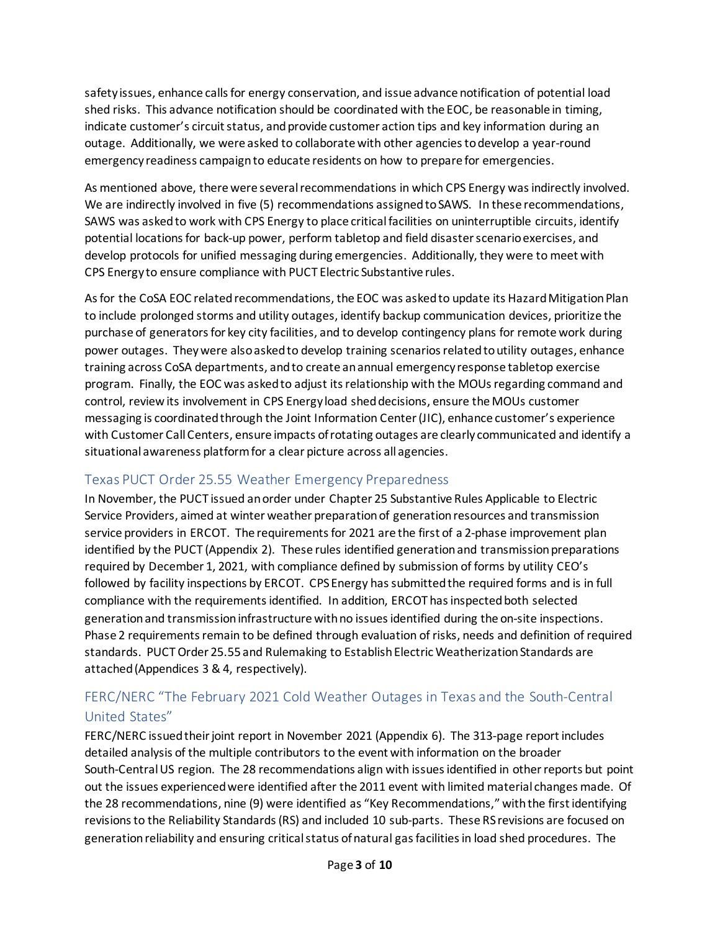safety issues, enhance calls for energy conservation, and issue advance notification of potential load shed risks. This advance notification should be coordinated with the EOC, be reasonable in timing, indicate customer's circuit status, and provide customer action tips and key information during an outage. Additionally, we were asked to collaborate with other agencies to develop a year-round emergency readiness campaignto educate residents on how to prepare for emergencies.

As mentioned above, there were several recommendations in which CPS Energy was indirectly involved. We are indirectly involved in five (5) recommendations assigned to SAWS. In these recommendations, SAWS was asked to work with CPS Energy to place critical facilities on uninterruptible circuits, identify potential locations for back-up power, perform tabletop and field disaster scenarioexercises, and develop protocols for unified messaging during emergencies. Additionally, they were to meet with CPS Energy to ensure compliance with PUCT Electric Substantive rules.

As for the CoSA EOC related recommendations, the EOC was asked to update its Hazard Mitigation Plan to include prolonged storms and utility outages, identify backup communication devices, prioritize the purchase of generators for key city facilities, and to develop contingency plans for remote work during power outages. They were also askedto develop training scenarios related to utility outages, enhance training across CoSA departments, and to create an annual emergency response tabletop exercise program. Finally, the EOC was asked to adjust itsrelationship with the MOUsregarding command and control, review its involvement in CPS Energy load shed decisions, ensure the MOUs customer messaging is coordinated through the Joint Information Center (JIC), enhance customer's experience with Customer Call Centers, ensure impacts of rotating outages are clearly communicated and identify a situational awareness platform for a clear picture across all agencies.

### Texas PUCT Order 25.55 Weather Emergency Preparedness

In November, the PUCT issued an order under Chapter 25 Substantive Rules Applicable to Electric Service Providers, aimed at winter weather preparation of generation resources and transmission service providers in ERCOT. The requirements for 2021 are the first of a 2-phase improvement plan identified by the PUCT (Appendix 2). These rules identified generation and transmission preparations required by December 1, 2021, with compliance defined by submission of forms by utility CEO's followed by facility inspections by ERCOT. CPS Energy has submitted the required forms and is in full compliance with the requirements identified. In addition, ERCOT has inspected both selected generation and transmission infrastructure with no issues identified during the on-site inspections. Phase 2 requirements remain to be defined through evaluation of risks, needs and definition of required standards. PUCTOrder 25.55 and Rulemaking to Establish Electric Weatherization Standards are attached(Appendices 3 & 4, respectively).

### FERC/NERC "The February 2021 Cold Weather Outages in Texas and the South-Central United States"

FERC/NERC issued their joint report in November 2021 (Appendix 6). The 313-page report includes detailed analysis of the multiple contributors to the event with information on the broader South-CentralUS region. The 28 recommendations align with issues identified in other reports but point out the issues experienced were identified after the 2011 event with limited material changes made. Of the 28 recommendations, nine (9) were identified as "Key Recommendations," with the firstidentifying revisions to the Reliability Standards (RS) and included 10 sub-parts. These RS revisions are focused on generation reliability and ensuring critical status of natural gas facilities in load shed procedures. The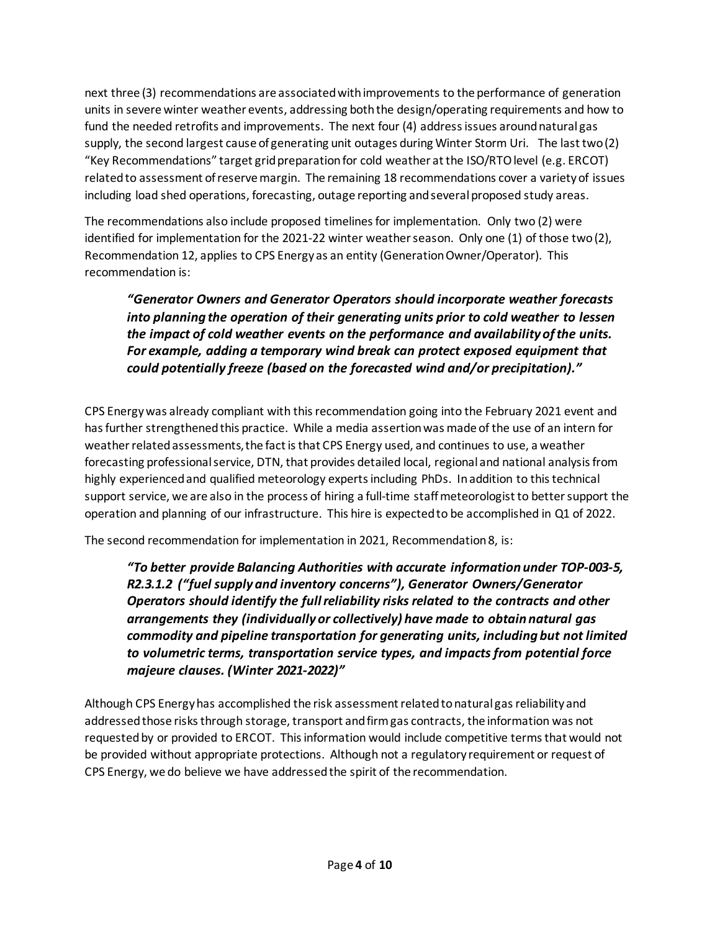next three (3) recommendations are associated with improvements to the performance of generation units in severe winter weather events, addressing both the design/operating requirements and how to fund the needed retrofits and improvements. The next four (4) address issues around natural gas supply, the second largest cause of generating unit outages during Winter Storm Uri. The last two (2) "Key Recommendations" target grid preparation for cold weather at the ISO/RTOlevel (e.g. ERCOT) related to assessment of reserve margin. The remaining 18 recommendations cover a variety of issues including load shed operations, forecasting, outage reporting and several proposed study areas.

The recommendations also include proposed timelines for implementation. Only two (2) were identified for implementation for the 2021-22 winter weather season. Only one (1) of those two (2), Recommendation 12, applies to CPS Energy as an entity (Generation Owner/Operator). This recommendation is:

*"Generator Owners and Generator Operators should incorporate weather forecasts into planning the operation of their generating units prior to cold weather to lessen the impact of cold weather events on the performance and availability of the units. For example, adding a temporary wind break can protect exposed equipment that could potentially freeze (based on the forecasted wind and/or precipitation)."*

CPS Energy was already compliant with this recommendation going into the February 2021 event and hasfurther strengthened this practice. While a media assertionwas made of the use of an intern for weather related assessments, the fact is that CPS Energy used, and continues to use, a weather forecasting professional service, DTN, that provides detailed local, regional and national analysis from highly experienced and qualified meteorology experts including PhDs. In addition to this technical support service, we are also in the process of hiring a full-time staff meteorologist to better support the operation and planning of our infrastructure. This hire is expected to be accomplished in Q1 of 2022.

The second recommendation for implementation in 2021, Recommendation 8, is:

*"To better provide Balancing Authorities with accurate information under TOP-003-5, R2.3.1.2 ("fuel supply and inventory concerns"), Generator Owners/Generator Operators should identify the full reliability risks related to the contracts and other arrangements they (individually or collectively) have made to obtain natural gas commodity and pipeline transportation for generating units, including but not limited to volumetric terms, transportation service types, and impacts from potential force majeure clauses. (Winter 2021-2022)"*

Although CPS Energy has accomplished the risk assessment related to natural gas reliability and addressed those risks through storage, transport and firm gas contracts, the information was not requested by or provided to ERCOT. This information would include competitive terms that would not be provided without appropriate protections. Although not a regulatory requirement or request of CPS Energy, we do believe we have addressed the spirit of the recommendation.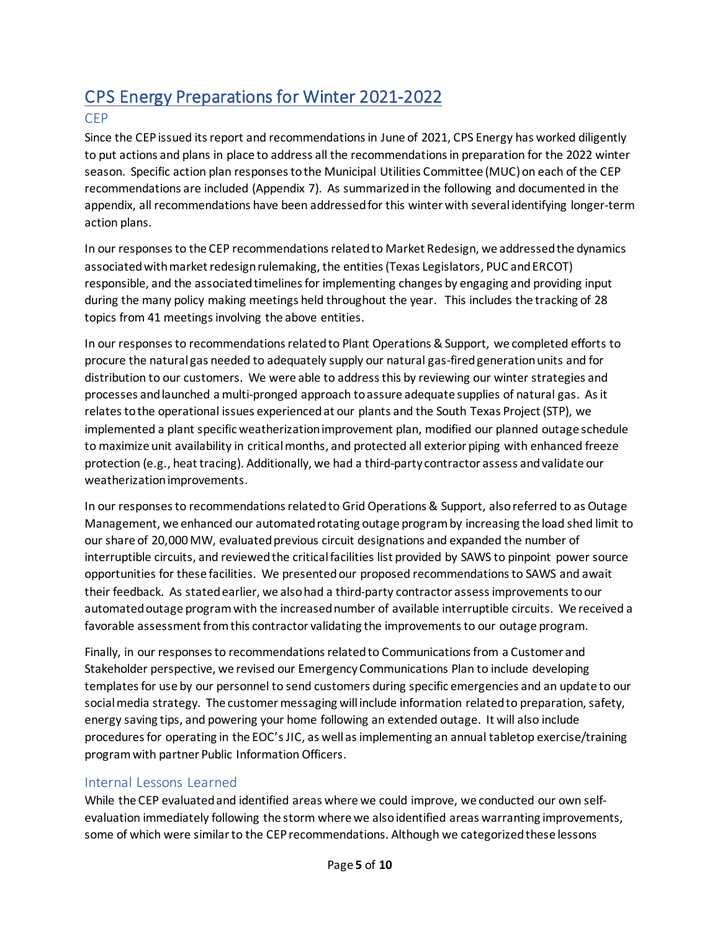# CPS Energy Preparations for Winter 2021-2022

### CEP

Since the CEP issued its report and recommendations in June of 2021, CPS Energy has worked diligently to put actions and plans in place to address all the recommendations in preparation for the 2022 winter season. Specific action plan responses to the Municipal Utilities Committee (MUC) on each of the CEP recommendations are included (Appendix 7). As summarized in the following and documented in the appendix, all recommendations have been addressed for this winter with several identifying longer-term action plans.

In our responses to the CEP recommendations related to Market Redesign, we addressed the dynamics associated with market redesign rulemaking, the entities (Texas Legislators, PUC and ERCOT) responsible, and the associated timelines for implementing changes by engaging and providing input during the many policy making meetings held throughout the year. This includes the tracking of 28 topics from 41 meetings involving the above entities.

In our responses to recommendations related to Plant Operations & Support, we completed efforts to procure the natural gas needed to adequately supply our natural gas-fired generation units and for distribution to our customers. We were able to address this by reviewing our winter strategies and processes and launched a multi-pronged approach to assure adequate supplies of natural gas. Asit relates to the operational issues experienced at our plants and the South Texas Project (STP), we implemented a plant specific weatherization improvement plan, modified our planned outage schedule to maximize unit availability in critical months, and protected all exterior piping with enhanced freeze protection (e.g., heat tracing). Additionally, we had a third-party contractor assess and validate our weatherization improvements.

In our responsesto recommendations related to Grid Operations & Support, also referred to as Outage Management, we enhanced our automated rotating outage program by increasing the load shed limit to our share of 20,000 MW, evaluated previous circuit designations and expanded the number of interruptible circuits, and reviewedthe critical facilities list provided by SAWS to pinpoint power source opportunities for these facilities. We presented our proposed recommendations to SAWS and await their feedback. As stated earlier, we also had a third-party contractor assessimprovements to our automated outage program with the increased number of available interruptible circuits. We received a favorable assessment from this contractor validating the improvements to our outage program.

Finally, in our responses to recommendations related to Communications from a Customer and Stakeholder perspective, we revised our Emergency Communications Plan to include developing templates for use by our personnel to send customers during specific emergencies and an update to our social media strategy. The customer messaging will include information related to preparation, safety, energy saving tips, and powering your home following an extended outage. It will also include procedures for operating in the EOC's JIC, as well as implementing an annual tabletop exercise/training programwith partner Public Information Officers.

#### Internal Lessons Learned

While the CEP evaluated and identified areas where we could improve, we conducted our own selfevaluation immediately following the storm where we also identified areas warranting improvements, some of which were similar to the CEP recommendations. Although we categorized these lessons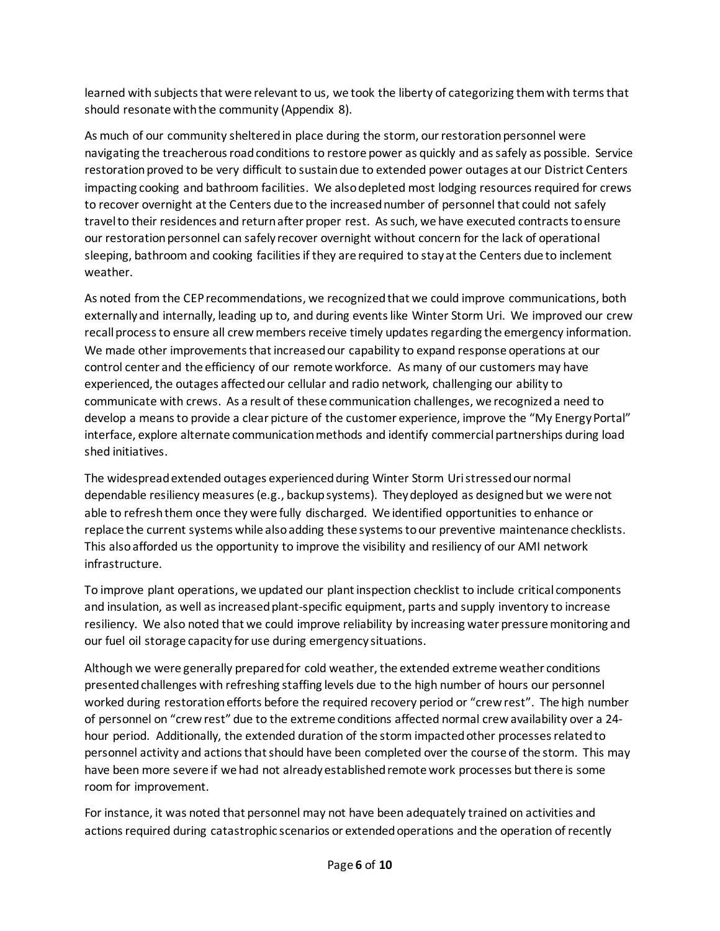learned with subjects that were relevant to us, we took the liberty of categorizing them with terms that should resonate with the community (Appendix 8).

As much of our community sheltered in place during the storm, our restoration personnel were navigating the treacherous road conditions to restore power as quickly and as safely as possible. Service restoration proved to be very difficult to sustain due to extended power outages at our District Centers impacting cooking and bathroom facilities. We also depleted most lodging resources required for crews to recover overnight at the Centers due to the increased number of personnel that could not safely travel to their residences and return after proper rest. As such, we have executed contractsto ensure our restoration personnel can safely recover overnight without concern for the lack of operational sleeping, bathroom and cooking facilities if they are required to stay at the Centers due to inclement weather.

As noted from the CEP recommendations, we recognized that we could improve communications, both externallyand internally, leading up to, and during events like Winter Storm Uri. We improved our crew recall process to ensure all crew members receive timely updates regarding the emergency information. We made other improvements that increased our capability to expand response operations at our control center and the efficiency of our remote workforce. As many of our customers may have experienced, the outages affected our cellular and radio network, challenging our ability to communicate with crews. As a result of these communication challenges, we recognized a need to develop a means to provide a clear picture of the customer experience, improve the "My Energy Portal" interface, explore alternate communication methods and identify commercial partnerships during load shed initiatives.

The widespread extended outages experienced during Winter Storm Uristressed our normal dependable resiliency measures(e.g., backup systems). They deployed as designed but we were not able to refresh them once they were fully discharged. We identified opportunities to enhance or replace the current systems while also adding these systemsto our preventive maintenance checklists. This also afforded us the opportunity to improve the visibility and resiliency of our AMI network infrastructure.

To improve plant operations, we updated our plant inspection checklist to include critical components and insulation, as well as increased plant-specific equipment, parts and supply inventory to increase resiliency. We also noted that we could improve reliability by increasing water pressure monitoring and our fuel oil storage capacity for use during emergency situations.

Although we were generally prepared for cold weather, the extended extreme weather conditions presented challenges with refreshing staffing levels due to the high number of hours our personnel worked during restoration efforts before the required recovery period or "crew rest". The high number of personnel on "crew rest" due to the extreme conditions affected normal crew availability over a 24 hour period. Additionally, the extended duration of the storm impactedother processes related to personnel activity and actionsthat should have been completed over the course of the storm. This may have been more severe if we had not already established remote work processes but there is some room for improvement.

For instance, it was noted that personnel may not have been adequately trained on activities and actions required during catastrophic scenarios or extended operations and the operation of recently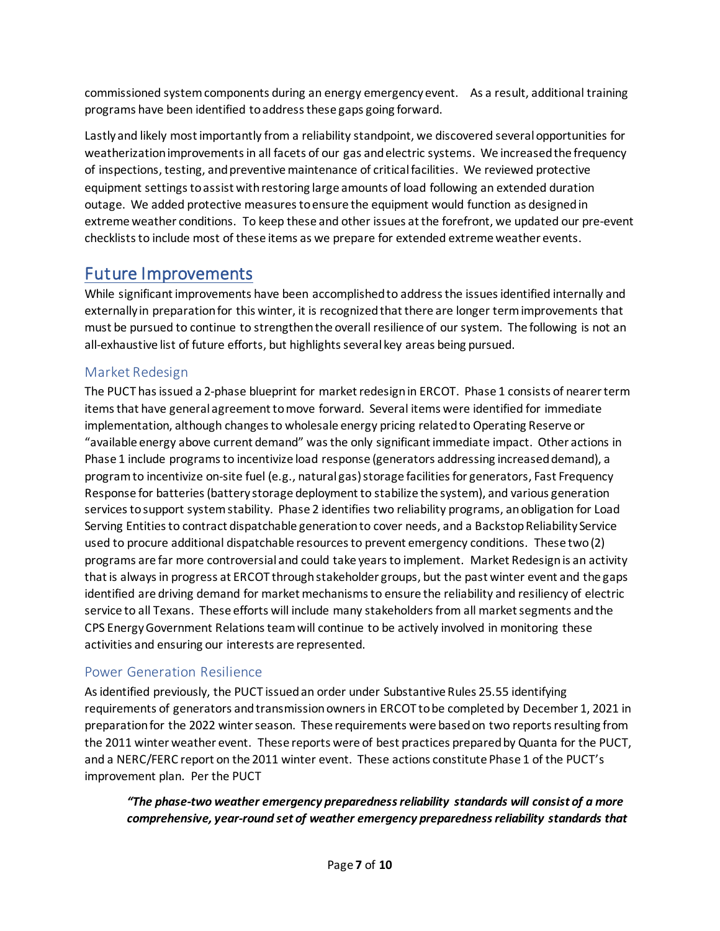commissioned system components during an energy emergency event. As a result, additional training programs have been identified to address these gaps going forward.

Lastly and likely most importantly from a reliability standpoint, we discovered several opportunities for weatherization improvementsin all facets of our gas and electric systems. We increased the frequency of inspections, testing, and preventive maintenance of critical facilities. We reviewed protective equipment settings to assist with restoring large amounts of load following an extended duration outage. We added protective measuresto ensure the equipment would function as designed in extreme weather conditions. To keep these and other issues at the forefront, we updated our pre-event checkliststo include most of these items as we prepare for extended extreme weather events.

## Future Improvements

While significant improvements have been accomplished to address the issues identified internally and externally in preparation for this winter, it is recognized that there are longer term improvements that must be pursued to continue to strengthen the overall resilience of our system. The following is not an all-exhaustive list of future efforts, but highlights several key areas being pursued.

### Market Redesign

The PUCT has issued a 2-phase blueprint for market redesign in ERCOT. Phase 1 consists of nearer term items that have general agreement to move forward. Several items were identified for immediate implementation, although changes to wholesale energy pricing related to Operating Reserve or "available energy above current demand" was the only significant immediate impact. Other actions in Phase 1 include programs to incentivize load response (generators addressing increased demand), a program to incentivize on-site fuel (e.g., natural gas)storage facilities for generators, Fast Frequency Response for batteries(battery storage deployment to stabilize the system), and various generation services to support system stability. Phase 2 identifies two reliability programs, an obligation for Load Serving Entities to contract dispatchable generation to cover needs, and a Backstop Reliability Service used to procure additional dispatchable resources to prevent emergency conditions. These two (2) programs are far more controversial and could take years to implement. Market Redesign is an activity that is always in progress at ERCOT through stakeholder groups, but the past winter event and the gaps identified are driving demand for market mechanisms to ensure the reliability and resiliency of electric service to all Texans. These efforts will include many stakeholders from all market segments and the CPS Energy Government Relations team will continue to be actively involved in monitoring these activities and ensuring our interests are represented.

### Power Generation Resilience

As identified previously, the PUCT issued an order under Substantive Rules 25.55 identifying requirements of generators and transmissionownersin ERCOT to be completed by December 1, 2021 in preparation for the 2022 winter season. These requirements were basedon two reports resulting from the 2011 winter weather event. These reports were of best practices prepared by Quanta for the PUCT, and a NERC/FERC report on the 2011 winter event. These actions constitute Phase 1 of the PUCT's improvement plan. Per the PUCT

*"The phase-two weather emergency preparedness reliability standards will consist of a more comprehensive, year-round set of weather emergency preparedness reliability standards that*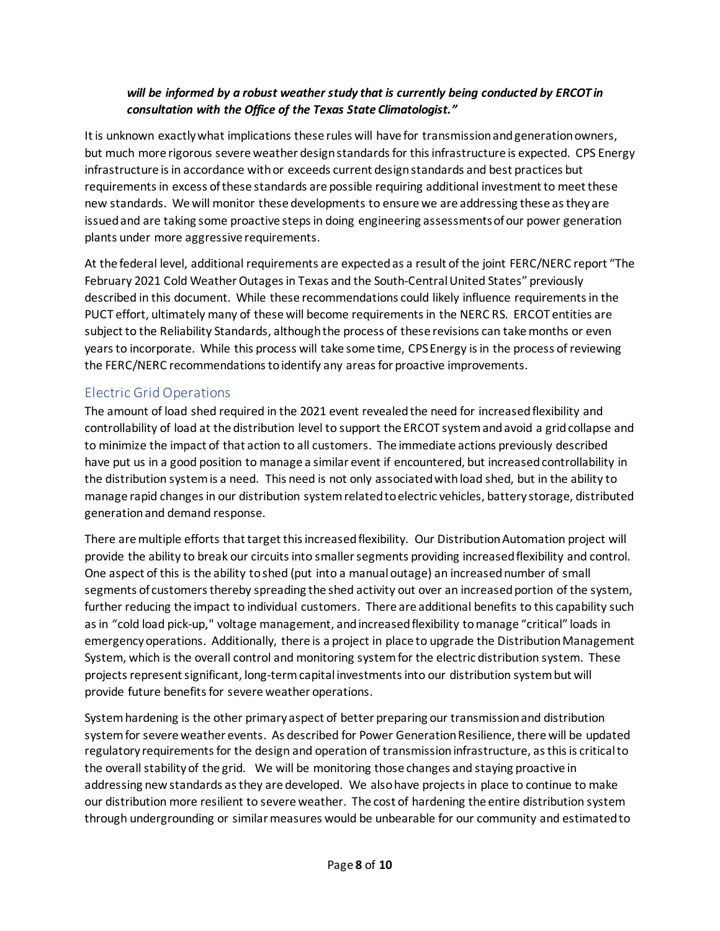#### *will be informed by a robust weather study that is currently being conducted by ERCOT in consultation with the Office of the Texas State Climatologist."*

It is unknown exactly what implications these rules will have for transmission and generation owners, but much more rigorous severe weather design standards for this infrastructure is expected. CPS Energy infrastructure is in accordance with or exceeds current designstandards and best practices but requirements in excess of these standards are possible requiring additional investment to meet these new standards. We will monitor these developments to ensure we are addressing these as they are issued and are taking some proactive steps in doing engineering assessments of our power generation plants under more aggressive requirements.

At the federal level, additional requirements are expected as a result of the joint FERC/NERC report "The February 2021 Cold Weather Outages in Texas and the South-CentralUnited States" previously described in this document. While these recommendations could likely influence requirements in the PUCT effort, ultimately many of these will become requirements in the NERC RS. ERCOT entities are subject to the Reliability Standards, although the process of these revisions can take months or even years to incorporate. While this process will take some time, CPS Energy is in the process of reviewing the FERC/NERC recommendations to identify any areas for proactive improvements.

#### Electric Grid Operations

The amount of load shed required in the 2021 event revealed the need for increased flexibility and controllability of load at the distribution level to support the ERCOT system and avoid a grid collapse and to minimize the impact of that action to all customers. The immediate actions previously described have put us in a good position to manage a similar event if encountered, but increased controllability in the distribution system is a need. This need is not only associated with load shed, but in the ability to manage rapid changes in our distribution system related to electric vehicles, battery storage, distributed generation and demand response.

There are multiple efforts that target this increased flexibility. Our Distribution Automation project will provide the ability to break our circuits into smaller segments providing increased flexibility and control. One aspect of this is the ability to shed (put into a manual outage) an increased number of small segments of customers thereby spreading the shed activity out over an increased portion of the system, further reducing the impact to individual customers. There are additional benefits to this capability such as in "cold load pick-up," voltage management, and increased flexibility to manage "critical" loads in emergency operations. Additionally, there is a project in place to upgrade the Distribution Management System, which is the overall control and monitoring system for the electric distribution system. These projects represent significant, long-termcapital investmentsinto our distribution system but will provide future benefits for severe weather operations.

System hardening is the other primary aspect of better preparing our transmission and distribution systemfor severe weather events. As described for Power Generation Resilience, there will be updated regulatory requirements for the design and operation of transmission infrastructure, as this is critical to the overall stability of the grid. We will be monitoring those changes and staying proactive in addressing new standards as they are developed. We also have projects in place to continue to make our distribution more resilient to severe weather. The cost of hardening the entire distribution system through undergrounding or similar measures would be unbearable for our community and estimated to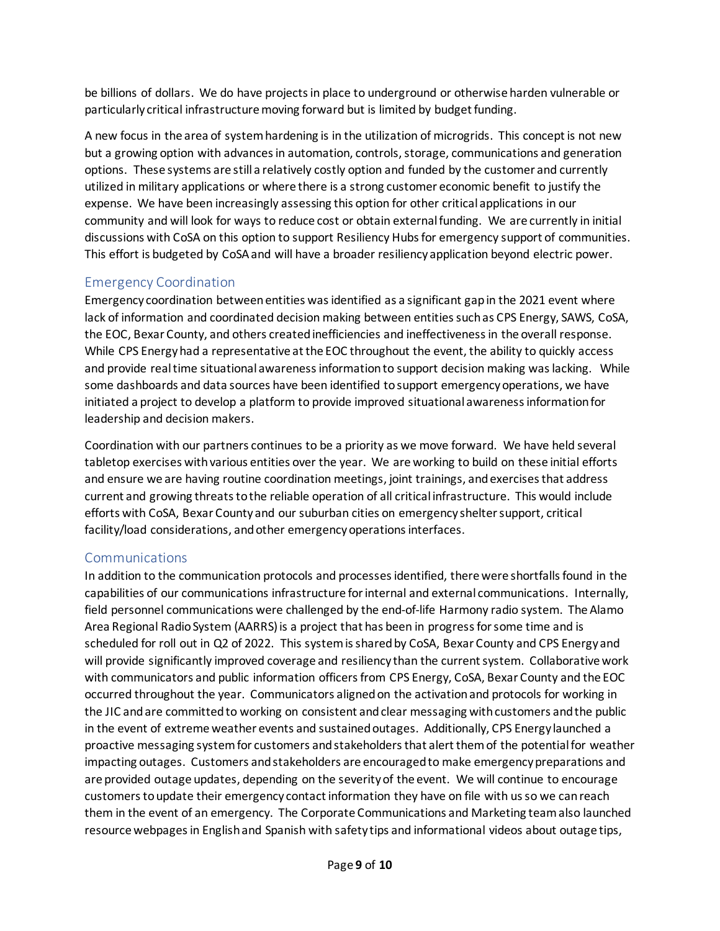be billions of dollars. We do have projectsin place to underground or otherwise harden vulnerable or particularly critical infrastructure moving forward but is limited by budget funding.

A new focus in the area of system hardening is in the utilization of microgrids. This concept is not new but a growing option with advances in automation, controls, storage, communications and generation options. These systems are still a relatively costly option and funded by the customer and currently utilized in military applications or where there is a strong customer economic benefit to justify the expense. We have been increasingly assessing this option for other critical applications in our community and will look for ways to reduce cost or obtain external funding. We are currently in initial discussions with CoSA on this option to support Resiliency Hubs for emergency support of communities. This effort is budgeted by CoSA and will have a broader resiliency application beyond electric power.

### Emergency Coordination

Emergency coordination between entities was identified as a significant gap in the 2021 event where lack of information and coordinated decision making between entities such as CPS Energy, SAWS, CoSA, the EOC, Bexar County, and others created inefficiencies and ineffectiveness in the overall response. While CPS Energy had a representative at the EOC throughout the event, the ability to quickly access and provide real time situational awareness information to support decision making was lacking. While some dashboards and data sources have been identified to support emergency operations, we have initiated a project to develop a platform to provide improved situational awarenessinformation for leadership and decision makers.

Coordination with our partners continues to be a priority as we move forward. We have held several tabletop exercises with various entities over the year. We are working to build on these initial efforts and ensure we are having routine coordination meetings, joint trainings, and exercises that address current and growing threats to the reliable operation of all critical infrastructure. This would include efforts with CoSA, Bexar County and our suburban cities on emergency shelter support, critical facility/load considerations, and other emergency operations interfaces.

#### Communications

In addition to the communication protocols and processes identified, there were shortfalls found in the capabilities of our communications infrastructure for internal and external communications. Internally, field personnel communications were challenged by the end-of-life Harmony radio system. The Alamo Area Regional Radio System (AARRS) is a project that has been in progress for some time and is scheduled for roll out in Q2 of 2022. This system is shared by CoSA, Bexar County and CPS Energy and will provide significantly improved coverage and resiliency than the current system. Collaborative work with communicators and public information officers from CPS Energy, CoSA, Bexar County and the EOC occurred throughout the year. Communicators aligned on the activation and protocols for working in the JIC and are committed to working on consistent and clear messaging with customers and the public in the event of extreme weather events and sustained outages. Additionally, CPS Energy launched a proactive messaging system for customers and stakeholders that alert them of the potential for weather impacting outages. Customers and stakeholders are encouraged to make emergency preparations and are provided outage updates, depending on the severity of the event. We will continue to encourage customers to update their emergency contact information they have on file with us so we can reach them in the event of an emergency. The Corporate Communications and Marketing team also launched resource webpages in English and Spanish with safety tips and informational videos about outage tips,